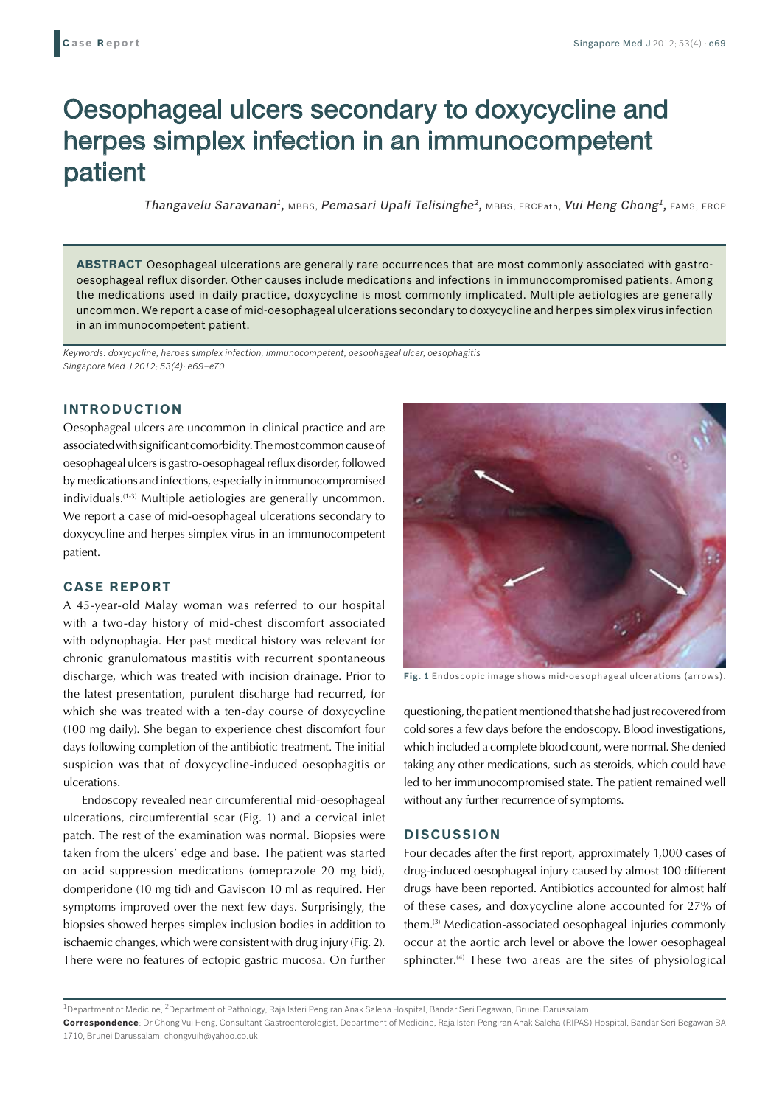# Oesophageal ulcers secondary to doxycycline and herpes simplex infection in an immunocompetent patient

*Thangavelu Saravanan1,* MBBS, *Pemasari Upali Telisinghe2,* MBBS, FRCPath, *Vui Heng Chong1,* FAMS, FRCP

**ABSTRACT** Oesophageal ulcerations are generally rare occurrences that are most commonly associated with gastrooesophageal reflux disorder. Other causes include medications and infections in immunocompromised patients. Among the medications used in daily practice, doxycycline is most commonly implicated. Multiple aetiologies are generally uncommon. We report a case of mid-oesophageal ulcerations secondary to doxycycline and herpes simplex virus infection in an immunocompetent patient.

*Keywords: doxycycline, herpes simplex infection, immunocompetent, oesophageal ulcer, oesophagitis Singapore Med J 2012; 53(4): e69–e70*

## **INTRODUCTION**

Oesophageal ulcers are uncommon in clinical practice and are associated with significant comorbidity. The most common cause of oesophageal ulcers is gastro-oesophageal reflux disorder, followed by medications and infections, especially in immunocompromised individuals.(1-3) Multiple aetiologies are generally uncommon. We report a case of mid-oesophageal ulcerations secondary to doxycycline and herpes simplex virus in an immunocompetent patient.

## **CASE REPORT**

A 45-year-old Malay woman was referred to our hospital with a two-day history of mid-chest discomfort associated with odynophagia. Her past medical history was relevant for chronic granulomatous mastitis with recurrent spontaneous discharge, which was treated with incision drainage. Prior to the latest presentation, purulent discharge had recurred, for which she was treated with a ten-day course of doxycycline (100 mg daily). She began to experience chest discomfort four days following completion of the antibiotic treatment. The initial suspicion was that of doxycycline-induced oesophagitis or ulcerations.

Endoscopy revealed near circumferential mid-oesophageal ulcerations, circumferential scar (Fig. 1) and a cervical inlet patch. The rest of the examination was normal. Biopsies were taken from the ulcers' edge and base. The patient was started on acid suppression medications (omeprazole 20 mg bid), domperidone (10 mg tid) and Gaviscon 10 ml as required. Her symptoms improved over the next few days. Surprisingly, the biopsies showed herpes simplex inclusion bodies in addition to ischaemic changes, which were consistent with drug injury (Fig. 2). There were no features of ectopic gastric mucosa. On further



**Fig. 1** Endoscopic image shows mid-oesophageal ulcerations (arrows).

questioning, the patient mentioned that she had just recovered from cold sores a few days before the endoscopy. Blood investigations, which included a complete blood count, were normal. She denied taking any other medications, such as steroids, which could have led to her immunocompromised state. The patient remained well without any further recurrence of symptoms.

### **DISCUSSION**

Four decades after the first report, approximately 1,000 cases of drug-induced oesophageal injury caused by almost 100 different drugs have been reported. Antibiotics accounted for almost half of these cases, and doxycycline alone accounted for 27% of them.(3) Medication-associated oesophageal injuries commonly occur at the aortic arch level or above the lower oesophageal sphincter.<sup>(4)</sup> These two areas are the sites of physiological

<sup>1</sup>Department of Medicine, <sup>2</sup>Department of Pathology, Raja Isteri Pengiran Anak Saleha Hospital, Bandar Seri Begawan, Brunei Darussalam

**Correspondence**: Dr Chong Vui Heng, Consultant Gastroenterologist, Department of Medicine, Raja Isteri Pengiran Anak Saleha (RIPAS) Hospital, Bandar Seri Begawan BA 1710, Brunei Darussalam. chongvuih@yahoo.co.uk